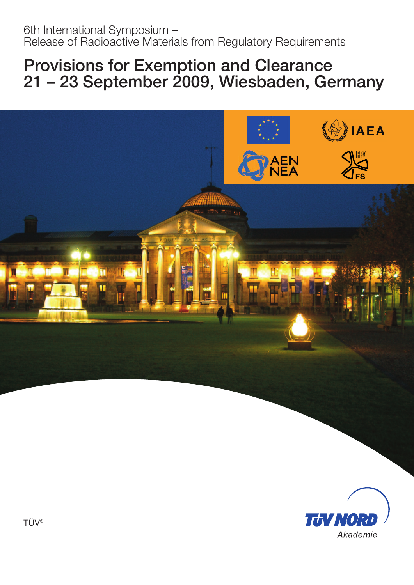6th International Symposium – Release of Radioactive Materials from Regulatory Requirements

# Provisions for Exemption and Clearance 21 – 23 September 2009, Wiesbaden, Germany

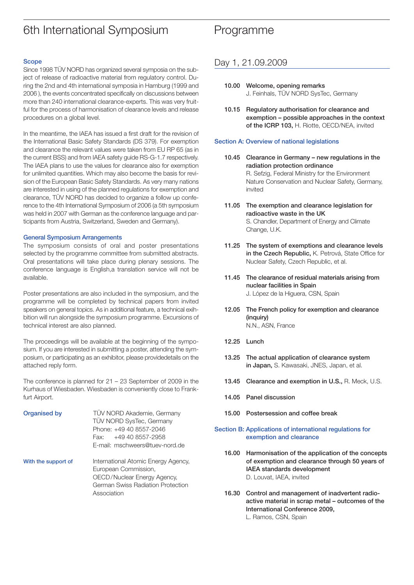# 6th International Symposium

#### Scope

Since 1998 TÜV NORD has organized several symposia on the subject of release of radioactive material from regulatory control. During the 2nd and 4th international symposia in Hamburg (1999 and 2006 ), the events concentrated specifically on discussions between more than 240 international clearance-experts. This was very fruitful for the process of harmonisation of clearance levels and release procedures on a global level.

In the meantime, the IAEA has issued a first draft for the revision of the International Basic Safety Standards (DS 379). For exemption and clearance the relevant values were taken from EU RP 65 (as in the current BSS) and from IAEA safety guide RS-G-1.7 respectively. The IAEA plans to use the values for clearance also for exemption for unlimited quantities. Which may also become the basis for revision of the European Basic Safety Standards. As very many nations are interested in using of the planned regulations for exemption and clearance, TÜV NORD has decided to organize a follow up conference to the 4th International Symposium of 2006 (a 5th symposium was held in 2007 with German as the conference language and participants from Austria, Switzerland, Sweden and Germany).

#### General Symposium Arrangements

The symposium consists of oral and poster presentations selected by the programme committee from submitted abstracts. Oral presentations will take place during plenary sessions. The conference language is English,a translation service will not be available.

Poster presentations are also included in the symposium, and the programme will be completed by technical papers from invited speakers on general topics. As in additional feature, a technical exihbition will run alongside the symposium programme. Excursions of technical interest are also planned.

The proceedings will be available at the beginning of the symposium. If you are interested in submitting a poster, attending the symposium, or participating as an exhibitor, please providedetails on the attached reply form.

The conference is planned for 21 – 23 September of 2009 in the Kurhaus of Wiesbaden. Wiesbaden is conveniently close to Frankfurt Airport.

| Organised by        | TÜV NORD Akademie, Germany<br>TÜV NORD SysTec, Germany<br>Phone: +49 40 8557-2046<br>+49 40 8557-2958<br>Fax:<br>E-mail: mschweers@tuev-nord.de |
|---------------------|-------------------------------------------------------------------------------------------------------------------------------------------------|
| With the support of | International Atomic Energy Agency,<br>European Commission,<br>OECD/Nuclear Energy Agency,<br>German Swiss Radiation Protection<br>Association  |

# Programme

### Day 1, 21.09.2009

- 10.00 Welcome, opening remarks J. Feinhals, TÜV NORD SysTec, Germany
- 10.15 Regulatory authorisation for clearance and exemption – possible approaches in the context of the ICRP 103, H. Riotte, OECD/NEA, invited

#### Section A: Overview of national legislations

- 10.45 Clearance in Germany new regulations in the radiation protection ordinance R. Sefzig, Federal Ministry for the Environment Nature Conservation and Nuclear Safety, Germany, invited
- 11.05 The exemption and clearance legislation for radioactive waste in the UK S. Chandler, Department of Energy and Climate Change, U.K.
- 11.25 The system of exemptions and clearance levels in the Czech Republic, K. Petrová, State Office for Nuclear Safety, Czech Republic, et al.
- 11.45 The clearance of residual materials arising from nuclear facilities in Spain J. López de la Higuera, CSN, Spain
- 12.05 The French policy for exemption and clearance (inquiry) N.N., ASN, France
- 12.25 Lunch
- 13.25 The actual application of clearance system in Japan, S. Kawasaki, JNES, Japan, et al.
- 13.45 Clearance and exemption in U.S., R. Meck, U.S.
- 14.05 Panel discussion
- 15.00 Postersession and coffee break

#### Section B: Applications of international regulations for exemption and clearance

- 16.00 Harmonisation of the application of the concepts of exemption and clearance through 50 years of IAEA standards development D. Louvat, IAEA, invited
- 16.30 Control and management of inadvertent radioactive material in scrap metal – outcomes of the International Conference 2009, L. Ramos, CSN, Spain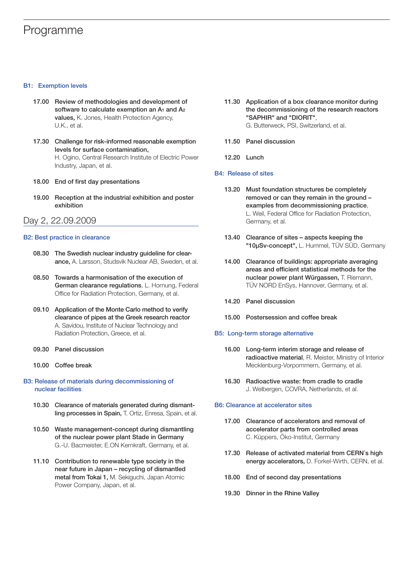# Programme

#### B1: Exemption levels

- 17.00 Review of methodologies and development of software to calculate exemption an A<sub>1</sub> and A<sub>2</sub> values, K. Jones, Health Protection Agency, U.K., et al.
- 17.30 Challenge for risk-informed reasonable exemption levels for surface contamination, H. Ogino, Central Research Institute of Electric Power Industry, Japan, et al.
- 18.00 End of first day presentations
- 19.00 Reception at the industrial exhibition and poster exhibition

### Day 2, 22.09.2009

#### B2: Best practice in clearance

- 08.30 The Swedish nuclear industry guideline for clearance, A. Larsson, Studsvik Nuclear AB, Sweden, et al.
- 08.50 Towards a harmonisation of the execution of German clearance regulations, L. Hornung, Federal Office for Radiation Protection, Germany, et al.
- 09.10 Application of the Monte Carlo method to verify clearance of pipes at the Greek research reactor A. Savidou, Institute of Nuclear Technology and Radiation Protection, Greece, et al.
- 09.30 Panel discussion
- 10.00 Coffee break
- B3: Release of materials during decommissioning of nuclear facilities
	- 10.30 Clearance of materials generated during dismantling processes in Spain, T. Ortiz, Enresa, Spain, et al.
	- 10.50 Waste management-concept during dismantling of the nuclear power plant Stade in Germany G.-U. Bacmeister, E.ON Kernkraft, Germany, et al.
	- 11.10 Contribution to renewable type society in the near future in Japan – recycling of dismantled metal from Tokai 1, M. Sekiguchi, Japan Atomic Power Company, Japan, et al.
- 11.30 Application of a box clearance monitor during the decommissioning of the research reactors "SAPHIR" and "DIORIT", G. Butterweck, PSI, Switzerland, et al.
- 11.50 Panel discussion
- 12.20 Lunch

#### B4: Release of sites

- 13.20 Must foundation structures be completely removed or can they remain in the ground – examples from decommissioning practice, L. Weil, Federal Office for Radiation Protection, Germany, et al.
- 13.40 Clearance of sites aspects keeping the "10µSv-concept", L. Hummel, TÜV SÜD, Germany
- 14.00 Clearance of buildings: appropriate averaging areas and efficient statistical methods for the nuclear power plant Würgassen, T. Riemann, TÜV NORD EnSys, Hannover, Germany, et al.
- 14.20 Panel discussion
- 15.00 Postersession and coffee break

#### B5: Long-term storage alternative

- 16.00 Long-term interim storage and release of radioactive material, R. Meister, Ministry of Interior Mecklenburg-Vorpommern, Germany, et al.
- 16.30 Radioactive waste: from cradle to cradle J. Welbergen, COVRA, Netherlands, et al.

#### B6: Clearance at accelerator sites

- 17.00 Clearance of accelerators and removal of accelerator parts from controlled areas C. Küppers, Öko-Institut, Germany
- 17.30 Release of activated material from CERN´s high energy accelerators, D. Forkel-Wirth, CERN, et al.
- 18.00 End of second day presentations
- 19.30 Dinner in the Rhine Valley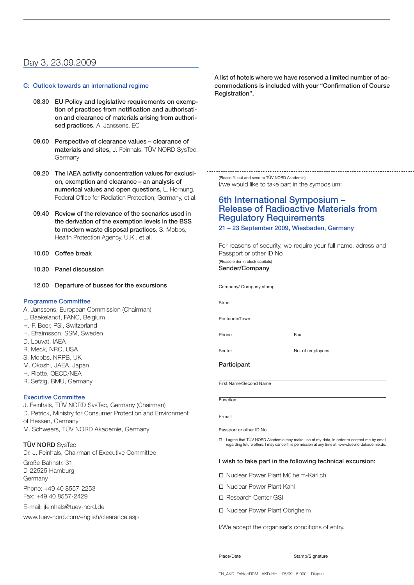### Day 3, 23.09.2009

#### C: Outlook towards an international regime

- 08.30 EU Policy and legislative requirements on exemption of practices from notification and authorisation and clearance of materials arising from authorised practices, A. Janssens, EC
- 09.00 Perspective of clearance values clearance of materials and sites, J. Feinhals, TÜV NORD SysTec. Germany
- 09.20 The IAEA activity concentration values for exclusion, exemption and clearance – an analysis of numerical values and open questions, L. Hornung, Federal Office for Radiation Protection, Germany, et al.
- 09.40 Review of the relevance of the scenarios used in the derivation of the exemption levels in the BSS to modern waste disposal practices, S. Mobbs, Health Protection Agency, U.K., et al.
- 10.00 Coffee break
- 10.30 Panel discussion
- 12.00 Departure of busses for the excursions

#### Programme Committee

A. Janssens, European Commission (Chairman)

- L. Baekelandt, FANC, Belgium
- H.-F. Beer, PSI, Switzerland
- H. Efraimsson, SSM, Sweden
- D. Louvat, IAEA
- R. Meck, NRC, USA
- S. Mobbs, NRPB, UK
- M. Okoshi, JAEA, Japan
- H. Riotte, OECD/NEA
- R. Sefzig, BMU, Germany

#### Executive Committee

J. Feinhals, TÜV NORD SysTec, Germany (Chairman) D. Petrick, Ministry for Consumer Protection and Environment of Hessen, Germany M. Schweers, TÜV NORD Akademie, Germany

#### **TÜV NORD SysTec**

Dr. J. Feinhals, Chairman of Executive Committee

Große Bahnstr. 31 D-22525 Hamburg Germany

Phone: +49 40 8557-2253 Fax: +49 40 8557-2429

E-mail: jfeinhals@tuev-nord.de

www.tuev-nord.com/english/clearance.asp

A list of hotels where we have reserved a limited number of accommodations is included with your "Confirmation of Course Registration".

(Please fill out and send to TÜV NORD Akademie) I/we would like to take part in the symposium:

# 6th International Symposium –<br>Release of Radioactive Materials from Regulatory Requirements

21 – 23 September 2009, Wiesbaden, Germany

For reasons of security, we require your full name, adress and Passport or other ID No

(Please enter in block capitals) Sender/Company

Company/ Company stamp

**Street** 

Postcode/Town

Phone Fax

Sector No. of employees

#### Participant

First Name/Second Name

Function

E-mail

#### Passport or other ID No

o I agree that TÜV NORD Akademie may make use of my data, in order to contact me by email regarding future offers. I may cancel this permission at any time at: www.tuevnordakademie.de.

#### I wish to take part in the following technical excursion:

- o Nuclear Power Plant Mülheim-Kärlich
- o Nuclear Power Plant Kahl
- □ Research Center GSI
- o Nuclear Power Plant Obrigheim

I/We accept the organiser´s conditions of entry.

Place/Date Stamp/Signature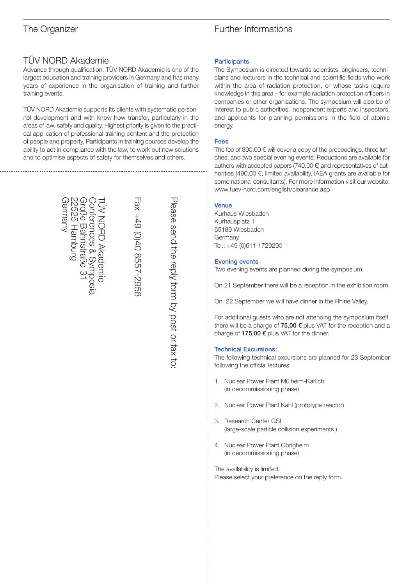### TÜV NORD Akademie

Advance through qualification. TÜV NORD Akademie is one of the largest education and training providers in Germany and has many years of experience in the organisation of training and further training events.

TÜV NORD Akademie supports its clients with systematic personnel development and with know-how transfer, particularly in the areas of law, safety and quality. Highest priority is given to the practical application of professional training content and the protection of people and property. Participants in training courses develop the ability to act in compliance with the law, to work out new solutions and to optimise aspects of safety for themselves and others.

Ple a s e s e n d th e ଟି ş form b y p o st or F a x + 4 9 (0)4 0 8 5 5 7-2 9 5 8  $\overline{\phantom{0}}$ Ü  $\,<$  $\mathsf{Z}% _{\mathcal{X}}\left( \mathcal{X}\right) \equiv\mathsf{Z}_{\mathcal{X}}\left( \mathcal{X}\right)$ O 力  $\bigcup$ A k a d e mie **Conferences** & S y m p o sia Gro ß e Bahnstraße Große Bahnstraße 31<br>22525 Hamburg 2 5 2 5 H a m b an<br>Gin  $\Omega$ erm a n y

fa x to:

# The Organizer The Organizer Further Informations

### **Participants**

The Symposium is directed towards scientists, engineers, technicians and lecturers in the technical and scientific fields who work within the area of radiation protection, or whose tasks require knowledge in this area – for example radiation protection officers in companies or other organisations. The symposium will also be of interest to public authorities, independent experts and inspectors, and applicants for planning permissions in the field of atomic energy.

#### Fees

The fee of 890,00  $\epsilon$  will cover a copy of the proceedings, three lunches, and two special evening events. Reductions are available for authors with accepted papers (740,00 €) and representatives of authorities (490,00 €, limited availability, IAEA grants are available for some national consultants). For more information visit our website: www.tuev-nord.com/english/clearance.asp

#### Venue

Kurhaus Wiesbaden Kurhausplatz 1 65189 Wiesbaden **Germany** Tel.: +49 (0)611 1729290

#### Evening events

Two evening events are planned during the symposium:

On 21 September there will be a reception in the exhibition room.

On 22 September we will have dinner in the Rhine Valley.

For additional guests who are not attending the symposium itself, there will be a charge of 75,00  $\epsilon$  plus VAT for the reception and a charge of 175,00 € plus VAT for the dinner.

#### Technical Excursions:

The following technical excursions are planned for 23 September following the official lectures.

- 1. Nuclear Power Plant Mülheim-Kärlich (in decommissioning phase)
- 2. Nuclear Power Plant Kahl (prototype reactor)
- 3. Research Center GSI (large-scale particle collision experiments )
- 4. Nuclear Power Plant Obrigheim (in decommissioning phase)

The availability is limited. Please select your preference on the reply form.